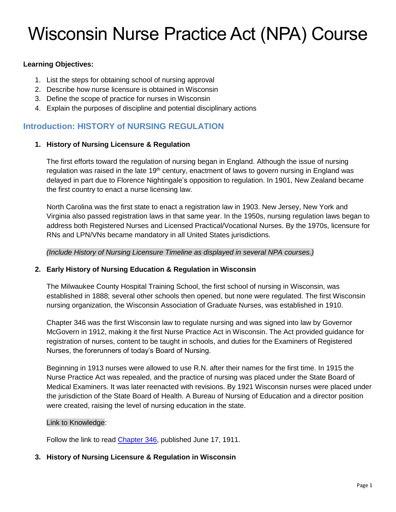# Wisconsin Nurse Practice Act (NPA) Course

## **Learning Objectives:**

- 1. List the steps for obtaining school of nursing approval
- 2. Describe how nurse licensure is obtained in Wisconsin
- 3. Define the scope of practice for nurses in Wisconsin
- 4. Explain the purposes of discipline and potential disciplinary actions

## **Introduction: HISTORY of NURSING REGULATION**

## **1. History of Nursing Licensure & Regulation**

The first efforts toward the regulation of nursing began in England. Although the issue of nursing regulation was raised in the late 19<sup>th</sup> century, enactment of laws to govern nursing in England was delayed in part due to Florence Nightingale's opposition to regulation. In 1901, New Zealand became the first country to enact a nurse licensing law.

North Carolina was the first state to enact a registration law in 1903. New Jersey, New York and Virginia also passed registration laws in that same year. In the 1950s, nursing regulation laws began to address both Registered Nurses and Licensed Practical/Vocational Nurses. By the 1970s, licensure for RNs and LPN/VNs became mandatory in all United States jurisdictions.

*(Include History of Nursing Licensure Timeline as displayed in several NPA courses.)*

## **2. Early History of Nursing Education & Regulation in Wisconsin**

The Milwaukee County Hospital Training School, the first school of nursing in Wisconsin, was established in 1888; several other schools then opened, but none were regulated. The first Wisconsin nursing organization, the Wisconsin Association of Graduate Nurses, was established in 1910.

Chapter 346 was the first Wisconsin law to regulate nursing and was signed into law by Governor McGovern in 1912, making it the first Nurse Practice Act in Wisconsin. The Act provided guidance for registration of nurses, content to be taught in schools, and duties for the Examiners of Registered Nurses, the forerunners of today's Board of Nursing.

Beginning in 1913 nurses were allowed to use R.N. after their names for the first time. In 1915 the Nurse Practice Act was repealed, and the practice of nursing was placed under the State Board of Medical Examiners. It was later reenacted with revisions. By 1921 Wisconsin nurses were placed under the jurisdiction of the State Board of Health. A Bureau of Nursing of Education and a director position were created, raising the level of nursing education in the state.

## Link to Knowledge:

Follow the link to read [Chapter 346,](https://docs.legis.wisconsin.gov/1911/related/acts/346.pdf) published June 17, 1911.

## **3. History of Nursing Licensure & Regulation in Wisconsin**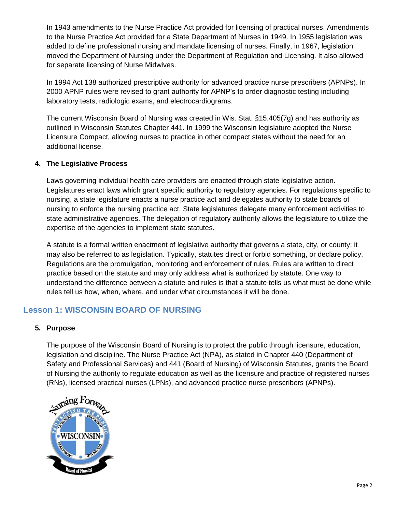In 1943 amendments to the Nurse Practice Act provided for licensing of practical nurses. Amendments to the Nurse Practice Act provided for a State Department of Nurses in 1949. In 1955 legislation was added to define professional nursing and mandate licensing of nurses. Finally, in 1967, legislation moved the Department of Nursing under the Department of Regulation and Licensing. It also allowed for separate licensing of Nurse Midwives.

In 1994 Act 138 authorized prescriptive authority for advanced practice nurse prescribers (APNPs). In 2000 APNP rules were revised to grant authority for APNP's to order diagnostic testing including laboratory tests, radiologic exams, and electrocardiograms.

The current Wisconsin Board of Nursing was created in Wis. Stat. §15.405(7g) and has authority as outlined in Wisconsin Statutes Chapter 441. In 1999 the Wisconsin legislature adopted the Nurse Licensure Compact, allowing nurses to practice in other compact states without the need for an additional license.

## **4. The Legislative Process**

Laws governing individual health care providers are enacted through state legislative action. Legislatures enact laws which grant specific authority to regulatory agencies. For regulations specific to nursing, a state legislature enacts a nurse practice act and delegates authority to state boards of nursing to enforce the nursing practice act. State legislatures delegate many enforcement activities to state administrative agencies. The delegation of regulatory authority allows the legislature to utilize the expertise of the agencies to implement state statutes.

A statute is a formal written enactment of legislative authority that governs a state, city, or county; it may also be referred to as legislation. Typically, statutes direct or forbid something, or declare policy. Regulations are the promulgation, monitoring and enforcement of rules. Rules are written to direct practice based on the statute and may only address what is authorized by statute. One way to understand the difference between a statute and rules is that a statute tells us what must be done while rules tell us how, when, where, and under what circumstances it will be done.

# **Lesson 1: WISCONSIN BOARD OF NURSING**

## **5. Purpose**

The purpose of the Wisconsin Board of Nursing is to protect the public through licensure, education, legislation and discipline. The Nurse Practice Act (NPA), as stated in Chapter 440 (Department of Safety and Professional Services) and 441 (Board of Nursing) of Wisconsin Statutes, grants the Board of Nursing the authority to regulate education as well as the licensure and practice of registered nurses (RNs), licensed practical nurses (LPNs), and advanced practice nurse prescribers (APNPs).

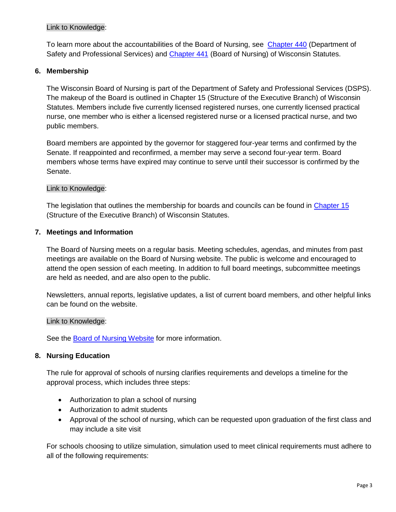## Link to Knowledge:

To learn more about the accountabilities of the Board of Nursing, see [Chapter 440](https://docs.legis.wisconsin.gov/statutes/statutes/440.pdf) (Department of Safety and Professional Services) and [Chapter 441](https://docs.legis.wisconsin.gov/statutes/statutes/441.pdf) (Board of Nursing) of Wisconsin Statutes.

## **6. Membership**

The Wisconsin Board of Nursing is part of the Department of Safety and Professional Services (DSPS). The makeup of the Board is outlined in Chapter 15 (Structure of the Executive Branch) of Wisconsin Statutes. Members include five currently licensed registered nurses, one currently licensed practical nurse, one member who is either a licensed registered nurse or a licensed practical nurse, and two public members.

Board members are appointed by the governor for staggered four-year terms and confirmed by the Senate. If reappointed and reconfirmed, a member may serve a second four-year term. Board members whose terms have expired may continue to serve until their successor is confirmed by the Senate.

## Link to Knowledge:

The legislation that outlines the membership for boards and councils can be found in [Chapter 15](https://docs.legis.wisconsin.gov/statutes/statutes/15/I/07) (Structure of the Executive Branch) of Wisconsin Statutes.

## **7. Meetings and Information**

The Board of Nursing meets on a regular basis. Meeting schedules, agendas, and minutes from past meetings are available on the Board of Nursing website. The public is welcome and encouraged to attend the open session of each meeting. In addition to full board meetings, subcommittee meetings are held as needed, and are also open to the public.

Newsletters, annual reports, legislative updates, a list of current board members, and other helpful links can be found on the website.

Link to Knowledge:

See the [Board of Nursing Website](https://dsps.wi.gov/pages/BoardsCouncils/Nursing/Default.aspx) for more information.

## **8. Nursing Education**

The rule for approval of schools of nursing clarifies requirements and develops a timeline for the approval process, which includes three steps:

- Authorization to plan a school of nursing
- Authorization to admit students
- Approval of the school of nursing, which can be requested upon graduation of the first class and may include a site visit

For schools choosing to utilize simulation, simulation used to meet clinical requirements must adhere to all of the following requirements: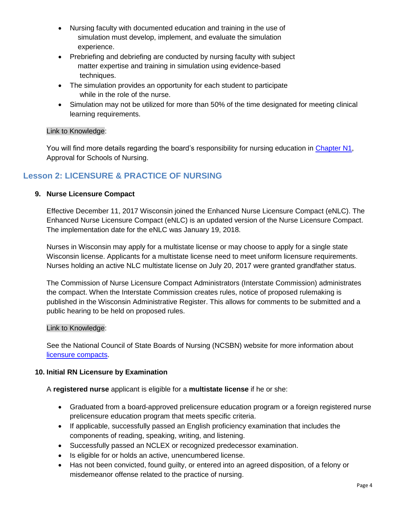- Nursing faculty with documented education and training in the use of simulation must develop, implement, and evaluate the simulation experience.
- Prebriefing and debriefing are conducted by nursing faculty with subject matter expertise and training in simulation using evidence-based techniques.
- The simulation provides an opportunity for each student to participate while in the role of the nurse.
- Simulation may not be utilized for more than 50% of the time designated for meeting clinical learning requirements.

## Link to Knowledge:

You will find more details regarding the board's responsibility for nursing education in [Chapter N1,](https://docs.legis.wisconsin.gov/code/admin_code/n/1.pdf) Approval for Schools of Nursing.

# **Lesson 2: LICENSURE & PRACTICE OF NURSING**

## **9. Nurse Licensure Compact**

Effective December 11, 2017 Wisconsin joined the Enhanced Nurse Licensure Compact (eNLC). The Enhanced Nurse Licensure Compact (eNLC) is an updated version of the Nurse Licensure Compact. The implementation date for the eNLC was January 19, 2018.

Nurses in Wisconsin may apply for a multistate license or may choose to apply for a single state Wisconsin license. Applicants for a multistate license need to meet uniform licensure requirements. Nurses holding an active NLC multistate license on July 20, 2017 were granted grandfather status.

The Commission of Nurse Licensure Compact Administrators (Interstate Commission) administrates the compact. When the Interstate Commission creates rules, notice of proposed rulemaking is published in the Wisconsin Administrative Register. This allows for comments to be submitted and a public hearing to be held on proposed rules.

## Link to Knowledge:

See the National Council of State Boards of Nursing (NCSBN) website for more information about [licensure compacts.](https://www.ncsbn.org/compacts.htm)

## **10. Initial RN Licensure by Examination**

A **registered nurse** applicant is eligible for a **multistate license** if he or she:

- Graduated from a board-approved prelicensure education program or a foreign registered nurse prelicensure education program that meets specific criteria.
- If applicable, successfully passed an English proficiency examination that includes the components of reading, speaking, writing, and listening.
- Successfully passed an NCLEX or recognized predecessor examination.
- Is eligible for or holds an active, unencumbered license.
- Has not been convicted, found guilty, or entered into an agreed disposition, of a felony or misdemeanor offense related to the practice of nursing.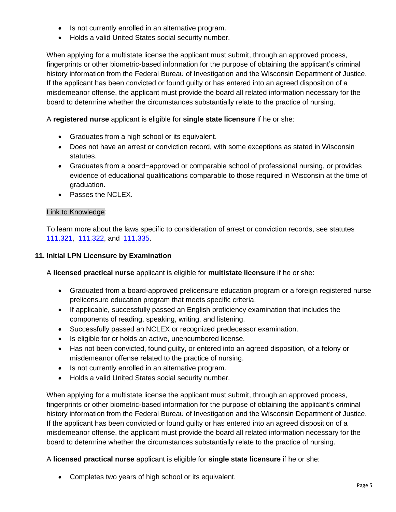- Is not currently enrolled in an alternative program.
- Holds a valid United States social security number.

When applying for a multistate license the applicant must submit, through an approved process, fingerprints or other biometric-based information for the purpose of obtaining the applicant's criminal history information from the Federal Bureau of Investigation and the Wisconsin Department of Justice. If the applicant has been convicted or found guilty or has entered into an agreed disposition of a misdemeanor offense, the applicant must provide the board all related information necessary for the board to determine whether the circumstances substantially relate to the practice of nursing.

A **registered nurse** applicant is eligible for **single state licensure** if he or she:

- Graduates from a high school or its equivalent.
- Does not have an arrest or conviction record, with some exceptions as stated in Wisconsin statutes.
- Graduates from a board−approved or comparable school of professional nursing, or provides evidence of educational qualifications comparable to those required in Wisconsin at the time of graduation.
- Passes the NCLEX.

## Link to Knowledge:

To learn more about the laws specific to consideration of arrest or conviction records, see statutes [111.321,](https://docs.legis.wisconsin.gov/statutes/statutes/111/II/321) [111.322,](https://docs.legis.wisconsin.gov/statutes/statutes/111/II/322) and [111.335.](https://docs.legis.wisconsin.gov/statutes/statutes/111/II/335)

## **11. Initial LPN Licensure by Examination**

A **licensed practical nurse** applicant is eligible for **multistate licensure** if he or she:

- Graduated from a board-approved prelicensure education program or a foreign registered nurse prelicensure education program that meets specific criteria.
- If applicable, successfully passed an English proficiency examination that includes the components of reading, speaking, writing, and listening.
- Successfully passed an NCLEX or recognized predecessor examination.
- Is eligible for or holds an active, unencumbered license.
- Has not been convicted, found guilty, or entered into an agreed disposition, of a felony or misdemeanor offense related to the practice of nursing.
- Is not currently enrolled in an alternative program.
- Holds a valid United States social security number.

When applying for a multistate license the applicant must submit, through an approved process, fingerprints or other biometric-based information for the purpose of obtaining the applicant's criminal history information from the Federal Bureau of Investigation and the Wisconsin Department of Justice. If the applicant has been convicted or found guilty or has entered into an agreed disposition of a misdemeanor offense, the applicant must provide the board all related information necessary for the board to determine whether the circumstances substantially relate to the practice of nursing.

A **licensed practical nurse** applicant is eligible for **single state licensure** if he or she:

• Completes two years of high school or its equivalent.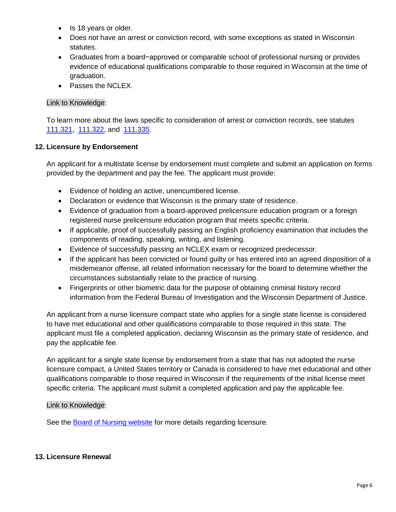- Is 18 years or older.
- Does not have an arrest or conviction record, with some exceptions as stated in Wisconsin statutes.
- Graduates from a board−approved or comparable school of professional nursing or provides evidence of educational qualifications comparable to those required in Wisconsin at the time of graduation.
- Passes the NCLEX.

## Link to Knowledge:

To learn more about the laws specific to consideration of arrest or conviction records, see statutes [111.321,](https://docs.legis.wisconsin.gov/statutes/statutes/111/II/321) [111.322,](https://docs.legis.wisconsin.gov/statutes/statutes/111/II/322) and [111.335.](https://docs.legis.wisconsin.gov/statutes/statutes/111/II/335)

## **12. Licensure by Endorsement**

An applicant for a multistate license by endorsement must complete and submit an application on forms provided by the department and pay the fee. The applicant must provide:

- Evidence of holding an active, unencumbered license.
- Declaration or evidence that Wisconsin is the primary state of residence.
- Evidence of graduation from a board-approved prelicensure education program or a foreign registered nurse prelicensure education program that meets specific criteria.
- If applicable, proof of successfully passing an English proficiency examination that includes the components of reading, speaking, writing, and listening.
- Evidence of successfully passing an NCLEX exam or recognized predecessor.
- If the applicant has been convicted or found guilty or has entered into an agreed disposition of a misdemeanor offense, all related information necessary for the board to determine whether the circumstances substantially relate to the practice of nursing.
- Fingerprints or other biometric data for the purpose of obtaining criminal history record information from the Federal Bureau of Investigation and the Wisconsin Department of Justice.

An applicant from a nurse licensure compact state who applies for a single state license is considered to have met educational and other qualifications comparable to those required in this state. The applicant must file a completed application, declaring Wisconsin as the primary state of residence, and pay the applicable fee.

An applicant for a single state license by endorsement from a state that has not adopted the nurse licensure compact, a United States territory or Canada is considered to have met educational and other qualifications comparable to those required in Wisconsin if the requirements of the initial license meet specific criteria. The applicant must submit a completed application and pay the applicable fee.

## Link to Knowledge:

See the [Board of Nursing website](https://dsps.wi.gov/pages/BoardsCouncils/Nursing/Default.aspx) for more details regarding licensure.

## **13. Licensure Renewal**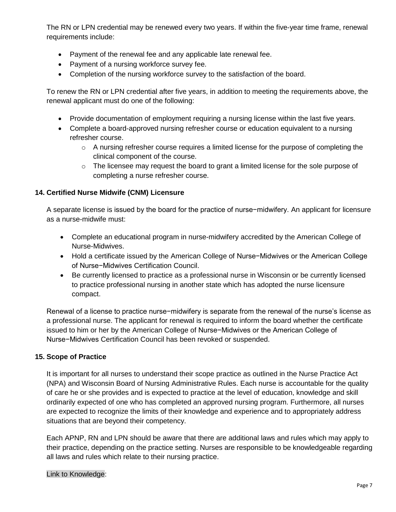The RN or LPN credential may be renewed every two years. If within the five-year time frame, renewal requirements include:

- Payment of the renewal fee and any applicable late renewal fee.
- Payment of a nursing workforce survey fee.
- Completion of the nursing workforce survey to the satisfaction of the board.

To renew the RN or LPN credential after five years, in addition to meeting the requirements above, the renewal applicant must do one of the following:

- Provide documentation of employment requiring a nursing license within the last five years.
- Complete a board-approved nursing refresher course or education equivalent to a nursing refresher course.
	- $\circ$  A nursing refresher course requires a limited license for the purpose of completing the clinical component of the course.
	- o The licensee may request the board to grant a limited license for the sole purpose of completing a nurse refresher course.

## **14. Certified Nurse Midwife (CNM) Licensure**

A separate license is issued by the board for the practice of nurse−midwifery. An applicant for licensure as a nurse-midwife must:

- Complete an educational program in nurse-midwifery accredited by the American College of Nurse-Midwives.
- Hold a certificate issued by the American College of Nurse−Midwives or the American College of Nurse−Midwives Certification Council.
- Be currently licensed to practice as a professional nurse in Wisconsin or be currently licensed to practice professional nursing in another state which has adopted the nurse licensure compact.

Renewal of a license to practice nurse−midwifery is separate from the renewal of the nurse's license as a professional nurse. The applicant for renewal is required to inform the board whether the certificate issued to him or her by the American College of Nurse−Midwives or the American College of Nurse−Midwives Certification Council has been revoked or suspended.

## **15. Scope of Practice**

It is important for all nurses to understand their scope practice as outlined in the Nurse Practice Act (NPA) and Wisconsin Board of Nursing Administrative Rules. Each nurse is accountable for the quality of care he or she provides and is expected to practice at the level of education, knowledge and skill ordinarily expected of one who has completed an approved nursing program. Furthermore, all nurses are expected to recognize the limits of their knowledge and experience and to appropriately address situations that are beyond their competency.

Each APNP, RN and LPN should be aware that there are additional laws and rules which may apply to their practice, depending on the practice setting. Nurses are responsible to be knowledgeable regarding all laws and rules which relate to their nursing practice.

#### Link to Knowledge: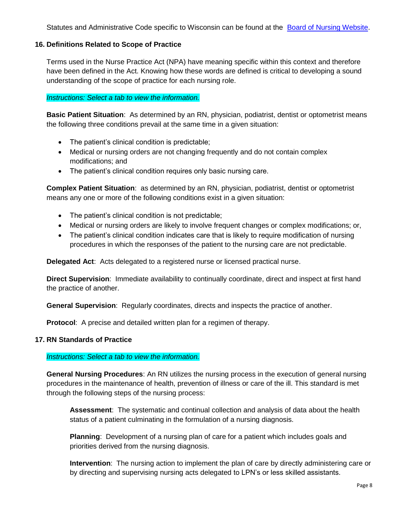Statutes and Administrative Code specific to Wisconsin can be found at the [Board of Nursing Website.](https://dsps.wi.gov/Pages/RulesStatutes/Nursing.aspx)

#### **16. Definitions Related to Scope of Practice**

Terms used in the Nurse Practice Act (NPA) have meaning specific within this context and therefore have been defined in the Act. Knowing how these words are defined is critical to developing a sound understanding of the scope of practice for each nursing role.

#### *Instructions: Select a tab to view the information.*

**Basic Patient Situation**: As determined by an RN, physician, podiatrist, dentist or optometrist means the following three conditions prevail at the same time in a given situation:

- The patient's clinical condition is predictable;
- Medical or nursing orders are not changing frequently and do not contain complex modifications; and
- The patient's clinical condition requires only basic nursing care.

**Complex Patient Situation**: as determined by an RN, physician, podiatrist, dentist or optometrist means any one or more of the following conditions exist in a given situation:

- The patient's clinical condition is not predictable;
- Medical or nursing orders are likely to involve frequent changes or complex modifications; or,
- The patient's clinical condition indicates care that is likely to require modification of nursing procedures in which the responses of the patient to the nursing care are not predictable.

**Delegated Act**: Acts delegated to a registered nurse or licensed practical nurse.

**Direct Supervision**: Immediate availability to continually coordinate, direct and inspect at first hand the practice of another.

**General Supervision**: Regularly coordinates, directs and inspects the practice of another.

**Protocol**: A precise and detailed written plan for a regimen of therapy.

#### **17. RN Standards of Practice**

#### *Instructions: Select a tab to view the information.*

**General Nursing Procedures**: An RN utilizes the nursing process in the execution of general nursing procedures in the maintenance of health, prevention of illness or care of the ill. This standard is met through the following steps of the nursing process:

**Assessment**: The systematic and continual collection and analysis of data about the health status of a patient culminating in the formulation of a nursing diagnosis.

**Planning**: Development of a nursing plan of care for a patient which includes goals and priorities derived from the nursing diagnosis.

**Intervention**: The nursing action to implement the plan of care by directly administering care or by directing and supervising nursing acts delegated to LPN's or less skilled assistants.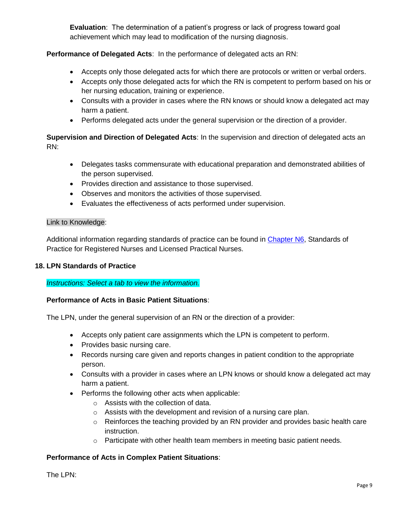**Evaluation**: The determination of a patient's progress or lack of progress toward goal achievement which may lead to modification of the nursing diagnosis.

## **Performance of Delegated Acts**: In the performance of delegated acts an RN:

- Accepts only those delegated acts for which there are protocols or written or verbal orders.
- Accepts only those delegated acts for which the RN is competent to perform based on his or her nursing education, training or experience.
- Consults with a provider in cases where the RN knows or should know a delegated act may harm a patient.
- Performs delegated acts under the general supervision or the direction of a provider.

**Supervision and Direction of Delegated Acts**: In the supervision and direction of delegated acts an RN:

- Delegates tasks commensurate with educational preparation and demonstrated abilities of the person supervised.
- Provides direction and assistance to those supervised.
- Observes and monitors the activities of those supervised.
- Evaluates the effectiveness of acts performed under supervision.

## Link to Knowledge:

Additional information regarding standards of practice can be found in [Chapter N6,](https://docs.legis.wisconsin.gov/code/admin_code/n/6.pdf) Standards of Practice for Registered Nurses and Licensed Practical Nurses.

## **18. LPN Standards of Practice**

*Instructions: Select a tab to view the information.*

## **Performance of Acts in Basic Patient Situations**:

The LPN, under the general supervision of an RN or the direction of a provider:

- Accepts only patient care assignments which the LPN is competent to perform.
- Provides basic nursing care.
- Records nursing care given and reports changes in patient condition to the appropriate person.
- Consults with a provider in cases where an LPN knows or should know a delegated act may harm a patient.
- Performs the following other acts when applicable:
	- o Assists with the collection of data.
	- o Assists with the development and revision of a nursing care plan.
	- o Reinforces the teaching provided by an RN provider and provides basic health care instruction.
	- o Participate with other health team members in meeting basic patient needs.

## **Performance of Acts in Complex Patient Situations**:

The LPN: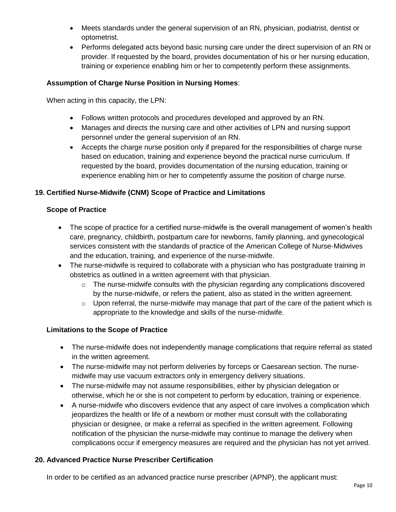- Meets standards under the general supervision of an RN, physician, podiatrist, dentist or optometrist.
- Performs delegated acts beyond basic nursing care under the direct supervision of an RN or provider. If requested by the board, provides documentation of his or her nursing education, training or experience enabling him or her to competently perform these assignments.

## **Assumption of Charge Nurse Position in Nursing Homes**:

When acting in this capacity, the LPN:

- Follows written protocols and procedures developed and approved by an RN.
- Manages and directs the nursing care and other activities of LPN and nursing support personnel under the general supervision of an RN.
- Accepts the charge nurse position only if prepared for the responsibilities of charge nurse based on education, training and experience beyond the practical nurse curriculum. If requested by the board, provides documentation of the nursing education, training or experience enabling him or her to competently assume the position of charge nurse.

## **19. Certified Nurse-Midwife (CNM) Scope of Practice and Limitations**

## **Scope of Practice**

- The scope of practice for a certified nurse-midwife is the overall management of women's health care, pregnancy, childbirth, postpartum care for newborns, family planning, and gynecological services consistent with the standards of practice of the American College of Nurse-Midwives and the education, training, and experience of the nurse-midwife.
- The nurse-midwife is required to collaborate with a physician who has postgraduate training in obstetrics as outlined in a written agreement with that physician.
	- $\circ$  The nurse-midwife consults with the physician regarding any complications discovered by the nurse-midwife, or refers the patient, also as stated in the written agreement.
	- $\circ$  Upon referral, the nurse-midwife may manage that part of the care of the patient which is appropriate to the knowledge and skills of the nurse-midwife.

## **Limitations to the Scope of Practice**

- The nurse-midwife does not independently manage complications that require referral as stated in the written agreement.
- The nurse-midwife may not perform deliveries by forceps or Caesarean section. The nursemidwife may use vacuum extractors only in emergency delivery situations.
- The nurse-midwife may not assume responsibilities, either by physician delegation or otherwise, which he or she is not competent to perform by education, training or experience.
- A nurse-midwife who discovers evidence that any aspect of care involves a complication which jeopardizes the health or life of a newborn or mother must consult with the collaborating physician or designee, or make a referral as specified in the written agreement. Following notification of the physician the nurse-midwife may continue to manage the delivery when complications occur if emergency measures are required and the physician has not yet arrived.

## **20. Advanced Practice Nurse Prescriber Certification**

In order to be certified as an advanced practice nurse prescriber (APNP), the applicant must: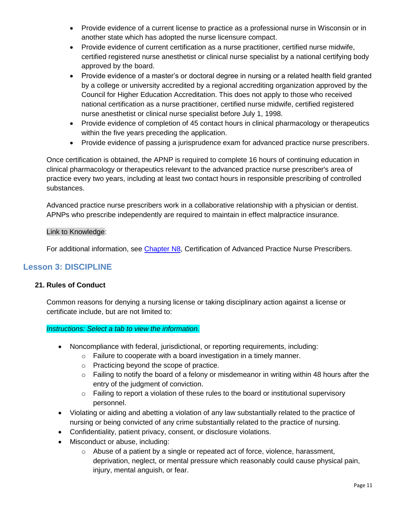- Provide evidence of a current license to practice as a professional nurse in Wisconsin or in another state which has adopted the nurse licensure compact.
- Provide evidence of current certification as a nurse practitioner, certified nurse midwife, certified registered nurse anesthetist or clinical nurse specialist by a national certifying body approved by the board.
- Provide evidence of a master's or doctoral degree in nursing or a related health field granted by a college or university accredited by a regional accrediting organization approved by the Council for Higher Education Accreditation. This does not apply to those who received national certification as a nurse practitioner, certified nurse midwife, certified registered nurse anesthetist or clinical nurse specialist before July 1, 1998.
- Provide evidence of completion of 45 contact hours in clinical pharmacology or therapeutics within the five years preceding the application.
- Provide evidence of passing a jurisprudence exam for advanced practice nurse prescribers.

Once certification is obtained, the APNP is required to complete 16 hours of continuing education in clinical pharmacology or therapeutics relevant to the advanced practice nurse prescriber's area of practice every two years, including at least two contact hours in responsible prescribing of controlled substances.

Advanced practice nurse prescribers work in a collaborative relationship with a physician or dentist. APNPs who prescribe independently are required to maintain in effect malpractice insurance.

## Link to Knowledge:

For additional information, see [Chapter N8,](https://docs.legis.wisconsin.gov/code/admin_code/n/8.pdf) Certification of Advanced Practice Nurse Prescribers.

## **Lesson 3: DISCIPLINE**

## **21. Rules of Conduct**

Common reasons for denying a nursing license or taking disciplinary action against a license or certificate include, but are not limited to:

## *Instructions: Select a tab to view the information.*

- Noncompliance with federal, jurisdictional, or reporting requirements, including:
	- o Failure to cooperate with a board investigation in a timely manner.
	- o Practicing beyond the scope of practice.
	- o Failing to notify the board of a felony or misdemeanor in writing within 48 hours after the entry of the judgment of conviction.
	- $\circ$  Failing to report a violation of these rules to the board or institutional supervisory personnel.
- Violating or aiding and abetting a violation of any law substantially related to the practice of nursing or being convicted of any crime substantially related to the practice of nursing.
- Confidentiality, patient privacy, consent, or disclosure violations.
- Misconduct or abuse, including:
	- $\circ$  Abuse of a patient by a single or repeated act of force, violence, harassment, deprivation, neglect, or mental pressure which reasonably could cause physical pain, injury, mental anguish, or fear.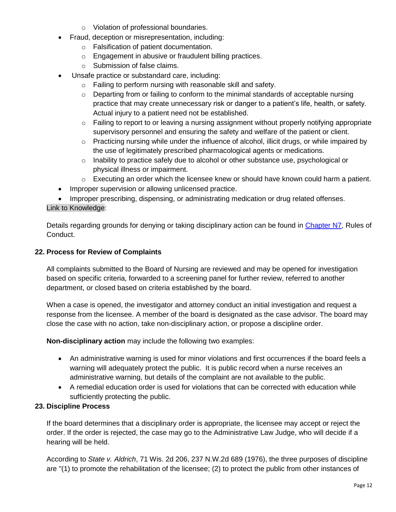- o Violation of professional boundaries.
- Fraud, deception or misrepresentation, including:
	- o Falsification of patient documentation.
	- o Engagement in abusive or fraudulent billing practices.
	- o Submission of false claims.
- Unsafe practice or substandard care, including:
	- o Failing to perform nursing with reasonable skill and safety.
	- $\circ$  Departing from or failing to conform to the minimal standards of acceptable nursing practice that may create unnecessary risk or danger to a patient's life, health, or safety. Actual injury to a patient need not be established.
	- $\circ$  Failing to report to or leaving a nursing assignment without properly notifying appropriate supervisory personnel and ensuring the safety and welfare of the patient or client.
	- $\circ$  Practicing nursing while under the influence of alcohol, illicit drugs, or while impaired by the use of legitimately prescribed pharmacological agents or medications.
	- o Inability to practice safely due to alcohol or other substance use, psychological or physical illness or impairment.
	- $\circ$  Executing an order which the licensee knew or should have known could harm a patient.
- Improper supervision or allowing unlicensed practice.

• Improper prescribing, dispensing, or administrating medication or drug related offenses. Link to Knowledge:

Details regarding grounds for denying or taking disciplinary action can be found in [Chapter N7,](https://docs.legis.wisconsin.gov/code/admin_code/n/7.pdf) Rules of Conduct.

## **22. Process for Review of Complaints**

All complaints submitted to the Board of Nursing are reviewed and may be opened for investigation based on specific criteria, forwarded to a screening panel for further review, referred to another department, or closed based on criteria established by the board.

When a case is opened, the investigator and attorney conduct an initial investigation and request a response from the licensee. A member of the board is designated as the case advisor. The board may close the case with no action, take non-disciplinary action, or propose a discipline order.

**Non-disciplinary action** may include the following two examples:

- An administrative warning is used for minor violations and first occurrences if the board feels a warning will adequately protect the public. It is public record when a nurse receives an administrative warning, but details of the complaint are not available to the public.
- A remedial education order is used for violations that can be corrected with education while sufficiently protecting the public.

## **23. Discipline Process**

If the board determines that a disciplinary order is appropriate, the licensee may accept or reject the order. If the order is rejected, the case may go to the Administrative Law Judge, who will decide if a hearing will be held.

According to *State v. Aldrich*, 71 Wis. 2d 206, 237 N.W.2d 689 (1976), the three purposes of discipline are "(1) to promote the rehabilitation of the licensee; (2) to protect the public from other instances of